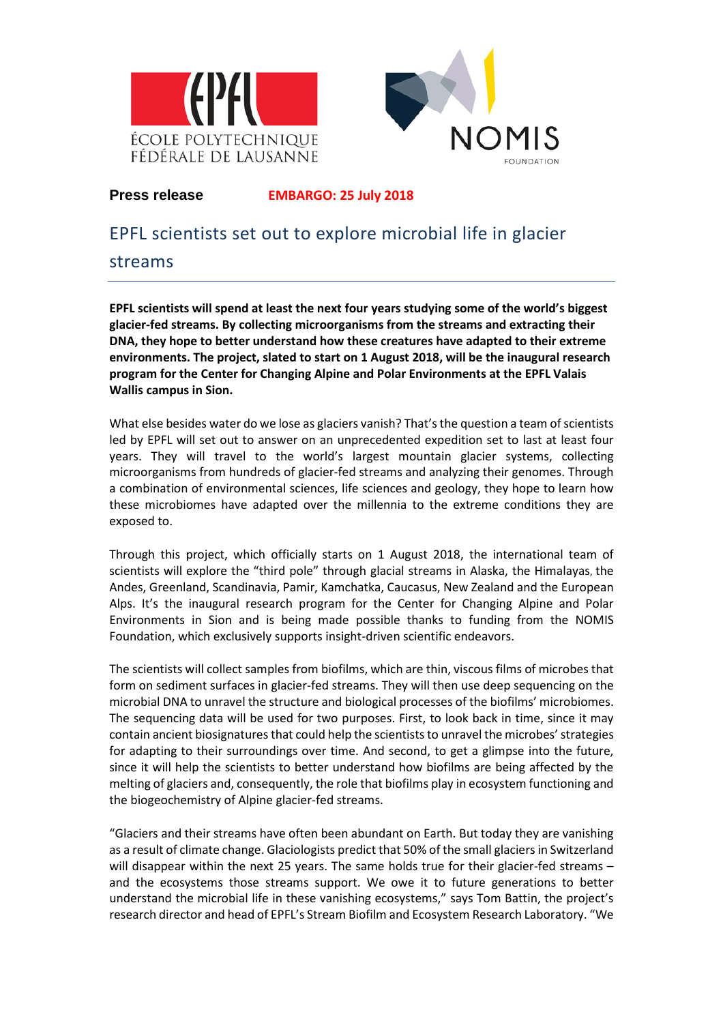



# **Press release EMBARGO: 25 July 2018**

# EPFL scientists set out to explore microbial life in glacier

# streams

**EPFL scientists will spend at least the next four years studying some of the world's biggest glacier-fed streams. By collecting microorganisms from the streams and extracting their DNA, they hope to better understand how these creatures have adapted to their extreme environments. The project, slated to start on 1 August 2018, will be the inaugural research program for the Center for Changing Alpine and Polar Environments at the EPFL Valais Wallis campus in Sion.** 

What else besides water do we lose as glaciers vanish? That's the question a team of scientists led by EPFL will set out to answer on an unprecedented expedition set to last at least four years. They will travel to the world's largest mountain glacier systems, collecting microorganisms from hundreds of glacier-fed streams and analyzing their genomes. Through a combination of environmental sciences, life sciences and geology, they hope to learn how these microbiomes have adapted over the millennia to the extreme conditions they are exposed to.

Through this project, which officially starts on 1 August 2018, the international team of scientists will explore the "third pole" through glacial streams in Alaska, the Himalayas, the Andes, Greenland, Scandinavia, Pamir, Kamchatka, Caucasus, New Zealand and the European Alps. It's the inaugural research program for the Center for Changing Alpine and Polar Environments in Sion and is being made possible thanks to funding from the NOMIS Foundation, which exclusively supports insight-driven scientific endeavors.

The scientists will collect samples from biofilms, which are thin, viscous films of microbes that form on sediment surfaces in glacier-fed streams. They will then use deep sequencing on the microbial DNA to unravel the structure and biological processes of the biofilms' microbiomes. The sequencing data will be used for two purposes. First, to look back in time, since it may contain ancient biosignatures that could help the scientists to unravel the microbes' strategies for adapting to their surroundings over time. And second, to get a glimpse into the future, since it will help the scientists to better understand how biofilms are being affected by the melting of glaciers and, consequently, the role that biofilms play in ecosystem functioning and the biogeochemistry of Alpine glacier-fed streams.

"Glaciers and their streams have often been abundant on Earth. But today they are vanishing as a result of climate change. Glaciologists predict that 50% of the small glaciers in Switzerland will disappear within the next 25 years. The same holds true for their glacier-fed streams – and the ecosystems those streams support. We owe it to future generations to better understand the microbial life in these vanishing ecosystems," says Tom Battin, the project's research director and head of EPFL's Stream Biofilm and Ecosystem Research Laboratory. "We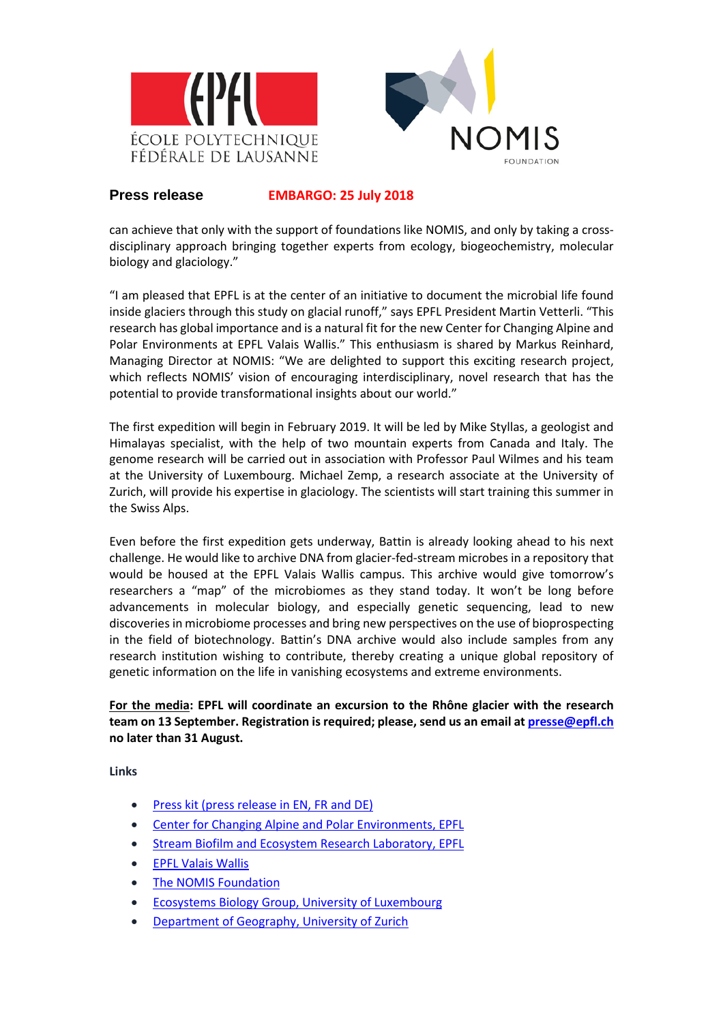

### **Press release EMBARGO: 25 July 2018**

can achieve that only with the support of foundations like NOMIS, and only by taking a crossdisciplinary approach bringing together experts from ecology, biogeochemistry, molecular biology and glaciology."

"I am pleased that EPFL is at the center of an initiative to document the microbial life found inside glaciers through this study on glacial runoff," says EPFL President Martin Vetterli. "This research has global importance and is a natural fit for the new Center for Changing Alpine and Polar Environments at EPFL Valais Wallis." This enthusiasm is shared by Markus Reinhard, Managing Director at NOMIS: "We are delighted to support this exciting research project, which reflects NOMIS' vision of encouraging interdisciplinary, novel research that has the potential to provide transformational insights about our world."

The first expedition will begin in February 2019. It will be led by Mike Styllas, a geologist and Himalayas specialist, with the help of two mountain experts from Canada and Italy. The genome research will be carried out in association with Professor Paul Wilmes and his team at the University of Luxembourg. Michael Zemp, a research associate at the University of Zurich, will provide his expertise in glaciology. The scientists will start training this summer in the Swiss Alps.

Even before the first expedition gets underway, Battin is already looking ahead to his next challenge. He would like to archive DNA from glacier-fed-stream microbes in a repository that would be housed at the EPFL Valais Wallis campus. This archive would give tomorrow's researchers a "map" of the microbiomes as they stand today. It won't be long before advancements in molecular biology, and especially genetic sequencing, lead to new discoveries in microbiome processes and bring new perspectives on the use of bioprospecting in the field of biotechnology. Battin's DNA archive would also include samples from any research institution wishing to contribute, thereby creating a unique global repository of genetic information on the life in vanishing ecosystems and extreme environments.

### **For the media: EPFL will coordinate an excursion to the Rhône glacier with the research team on 13 September. Registration is required; please, send us an email at [presse@epfl.ch](mailto:presse@epfl.ch) no later than 31 August.**

**Links**

- [Press kit \(press release in EN, FR and DE\)](https://go.epfl.ch/Microbial_Life_Glacier_Streams)
- Center for Changing Alpine [and Polar Environments, EPFL](https://enac.epfl.ch/page-155629-en.html)
- **[Stream Biofilm and Ecosystem Research Laboratory, EPFL](https://sber.epfl.ch/)**
- [EPFL Valais Wallis](https://valais.epfl.ch/Homepage)
- [The NOMIS Foundation](https://nomisfoundation.ch/)
- [Ecosystems Biology Group, University of](https://wwwen.uni.lu/lcsb/research/eco_systems_biology) Luxembourg
- [Department of Geography, University of](http://www.geo.uzh.ch/en.html) Zurich